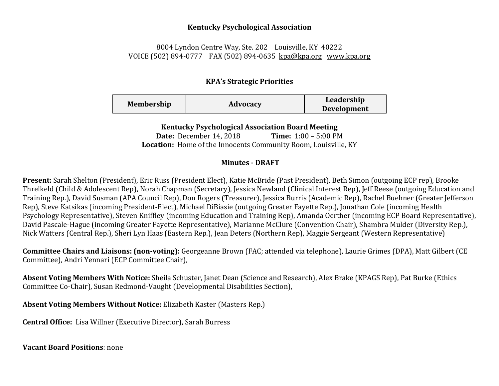#### **Kentucky Psychological Association**

# 8004 Lyndon Centre Way, Ste. 202 Louisville, KY 40222 VOICE (502) 894-0777 FAX (502) 894-0635 [kpa@kpa.org](mailto:kpa@kih.net) [www.kpa.org](http://www.kpa.org/)

# **KPA's Strategic Priorities**

| <b>Membership</b> | Advocacy | Leadership         |
|-------------------|----------|--------------------|
|                   |          | <b>Development</b> |

### **Kentucky Psychological Association Board Meeting**

**Date:** December 14, 2018 **Time:** 1:00 – 5:00 PM **Location:** Home of the Innocents Community Room, Louisville, KY

### **Minutes - DRAFT**

**Present:** Sarah Shelton (President), Eric Russ (President Elect), Katie McBride (Past President), Beth Simon (outgoing ECP rep), Brooke Threlkeld (Child & Adolescent Rep), Norah Chapman (Secretary), Jessica Newland (Clinical Interest Rep), Jeff Reese (outgoing Education and Training Rep.), David Susman (APA Council Rep), Don Rogers (Treasurer), Jessica Burris (Academic Rep), Rachel Buehner (Greater Jefferson Rep), Steve Katsikas (incoming President-Elect), Michael DiBiasie (outgoing Greater Fayette Rep.), Jonathan Cole (incoming Health Psychology Representative), Steven Kniffley (incoming Education and Training Rep), Amanda Oerther (incoming ECP Board Representative), David Pascale-Hague (incoming Greater Fayette Representative), Marianne McClure (Convention Chair), Shambra Mulder (Diversity Rep.), Nick Watters (Central Rep.), Sheri Lyn Haas (Eastern Rep.), Jean Deters (Northern Rep), Maggie Sergeant (Western Representative)

**Committee Chairs and Liaisons: (non-voting):** Georgeanne Brown (FAC; attended via telephone), Laurie Grimes (DPA), Matt Gilbert (CE Committee), Andri Yennari (ECP Committee Chair),

**Absent Voting Members With Notice:** Sheila Schuster, Janet Dean (Science and Research), Alex Brake (KPAGS Rep), Pat Burke (Ethics Committee Co-Chair), Susan Redmond-Vaught (Developmental Disabilities Section),

**Absent Voting Members Without Notice:** Elizabeth Kaster (Masters Rep.)

**Central Office:** Lisa Willner (Executive Director), Sarah Burress

**Vacant Board Positions**: none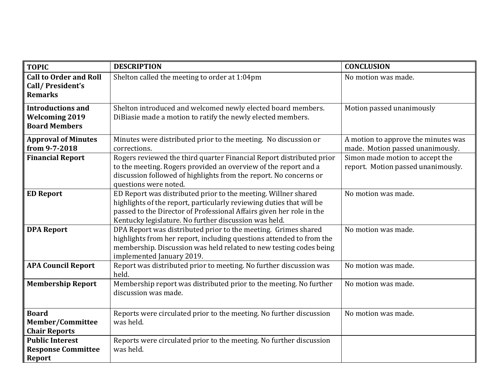| <b>TOPIC</b>                                                              | <b>DESCRIPTION</b>                                                                                                                                                                                                                                                      | <b>CONCLUSION</b>                                                       |
|---------------------------------------------------------------------------|-------------------------------------------------------------------------------------------------------------------------------------------------------------------------------------------------------------------------------------------------------------------------|-------------------------------------------------------------------------|
| <b>Call to Order and Roll</b><br>Call/President's<br><b>Remarks</b>       | Shelton called the meeting to order at 1:04pm                                                                                                                                                                                                                           | No motion was made.                                                     |
| <b>Introductions and</b><br><b>Welcoming 2019</b><br><b>Board Members</b> | Shelton introduced and welcomed newly elected board members.<br>DiBiasie made a motion to ratify the newly elected members.                                                                                                                                             | Motion passed unanimously                                               |
| <b>Approval of Minutes</b><br>from 9-7-2018                               | Minutes were distributed prior to the meeting. No discussion or<br>corrections.                                                                                                                                                                                         | A motion to approve the minutes was<br>made. Motion passed unanimously. |
| <b>Financial Report</b>                                                   | Rogers reviewed the third quarter Financial Report distributed prior<br>to the meeting. Rogers provided an overview of the report and a<br>discussion followed of highlights from the report. No concerns or<br>questions were noted.                                   | Simon made motion to accept the<br>report. Motion passed unanimously.   |
| <b>ED Report</b>                                                          | ED Report was distributed prior to the meeting. Willner shared<br>highlights of the report, particularly reviewing duties that will be<br>passed to the Director of Professional Affairs given her role in the<br>Kentucky legislature. No further discussion was held. | No motion was made.                                                     |
| <b>DPA Report</b>                                                         | DPA Report was distributed prior to the meeting. Grimes shared<br>highlights from her report, including questions attended to from the<br>membership. Discussion was held related to new testing codes being<br>implemented January 2019.                               | No motion was made.                                                     |
| <b>APA Council Report</b>                                                 | Report was distributed prior to meeting. No further discussion was<br>held.                                                                                                                                                                                             | No motion was made.                                                     |
| <b>Membership Report</b>                                                  | Membership report was distributed prior to the meeting. No further<br>discussion was made.                                                                                                                                                                              | No motion was made.                                                     |
| <b>Board</b><br><b>Member/Committee</b><br><b>Chair Reports</b>           | Reports were circulated prior to the meeting. No further discussion<br>was held.                                                                                                                                                                                        | No motion was made.                                                     |
| <b>Public Interest</b><br><b>Response Committee</b><br><b>Report</b>      | Reports were circulated prior to the meeting. No further discussion<br>was held.                                                                                                                                                                                        |                                                                         |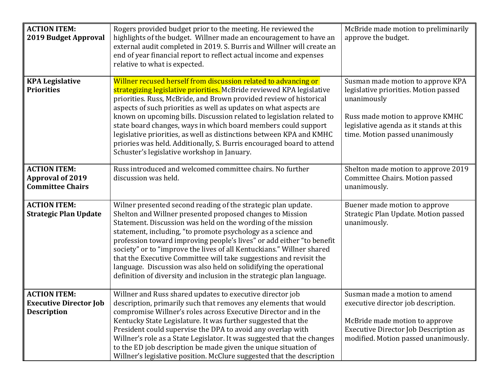| <b>ACTION ITEM:</b><br>2019 Budget Approval                                | Rogers provided budget prior to the meeting. He reviewed the<br>highlights of the budget. Willner made an encouragement to have an<br>external audit completed in 2019. S. Burris and Willner will create an<br>end of year financial report to reflect actual income and expenses<br>relative to what is expected.                                                                                                                                                                                                                                                                                                               | McBride made motion to preliminarily<br>approve the budget.                                                                                                                                                 |
|----------------------------------------------------------------------------|-----------------------------------------------------------------------------------------------------------------------------------------------------------------------------------------------------------------------------------------------------------------------------------------------------------------------------------------------------------------------------------------------------------------------------------------------------------------------------------------------------------------------------------------------------------------------------------------------------------------------------------|-------------------------------------------------------------------------------------------------------------------------------------------------------------------------------------------------------------|
| <b>KPA Legislative</b><br><b>Priorities</b>                                | Willner recused herself from discussion related to advancing or<br>strategizing legislative priorities. McBride reviewed KPA legislative<br>priorities. Russ, McBride, and Brown provided review of historical<br>aspects of such priorities as well as updates on what aspects are<br>known on upcoming bills. Discussion related to legislation related to<br>state board changes, ways in which board members could support<br>legislative priorities, as well as distinctions between KPA and KMHC<br>priories was held. Additionally, S. Burris encouraged board to attend<br>Schuster's legislative workshop in January.    | Susman made motion to approve KPA<br>legislative priorities. Motion passed<br>unanimously<br>Russ made motion to approve KMHC<br>legislative agenda as it stands at this<br>time. Motion passed unanimously |
| <b>ACTION ITEM:</b><br><b>Approval of 2019</b><br><b>Committee Chairs</b>  | Russ introduced and welcomed committee chairs. No further<br>discussion was held.                                                                                                                                                                                                                                                                                                                                                                                                                                                                                                                                                 | Shelton made motion to approve 2019<br>Committee Chairs. Motion passed<br>unanimously.                                                                                                                      |
| <b>ACTION ITEM:</b><br><b>Strategic Plan Update</b>                        | Wilner presented second reading of the strategic plan update.<br>Shelton and Willner presented proposed changes to Mission<br>Statement. Discussion was held on the wording of the mission<br>statement, including, "to promote psychology as a science and<br>profession toward improving people's lives" or add either "to benefit<br>society" or to "improve the lives of all Kentuckians." Willner shared<br>that the Executive Committee will take suggestions and revisit the<br>language. Discussion was also held on solidifying the operational<br>definition of diversity and inclusion in the strategic plan language. | Buener made motion to approve<br>Strategic Plan Update. Motion passed<br>unanimously.                                                                                                                       |
| <b>ACTION ITEM:</b><br><b>Executive Director Job</b><br><b>Description</b> | Willner and Russ shared updates to executive director job<br>description, primarily such that removes any elements that would<br>compromise Willner's roles across Executive Director and in the<br>Kentucky State Legislature. It was further suggested that the<br>President could supervise the DPA to avoid any overlap with<br>Willner's role as a State Legislator. It was suggested that the changes<br>to the ED job description be made given the unique situation of<br>Willner's legislative position. McClure suggested that the description                                                                          | Susman made a motion to amend<br>executive director job description.<br>McBride made motion to approve<br><b>Executive Director Job Description as</b><br>modified. Motion passed unanimously.              |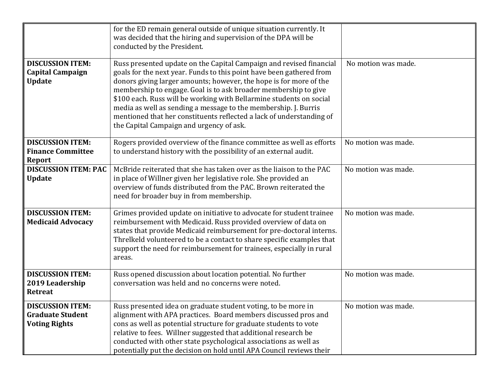|                                                                            | for the ED remain general outside of unique situation currently. It<br>was decided that the hiring and supervision of the DPA will be<br>conducted by the President.                                                                                                                                                                                                                                                                                                                                                                               |                     |
|----------------------------------------------------------------------------|----------------------------------------------------------------------------------------------------------------------------------------------------------------------------------------------------------------------------------------------------------------------------------------------------------------------------------------------------------------------------------------------------------------------------------------------------------------------------------------------------------------------------------------------------|---------------------|
| <b>DISCUSSION ITEM:</b><br><b>Capital Campaign</b><br><b>Update</b>        | Russ presented update on the Capital Campaign and revised financial<br>goals for the next year. Funds to this point have been gathered from<br>donors giving larger amounts; however, the hope is for more of the<br>membership to engage. Goal is to ask broader membership to give<br>\$100 each. Russ will be working with Bellarmine students on social<br>media as well as sending a message to the membership. J. Burris<br>mentioned that her constituents reflected a lack of understanding of<br>the Capital Campaign and urgency of ask. | No motion was made. |
| <b>DISCUSSION ITEM:</b><br><b>Finance Committee</b><br>Report              | Rogers provided overview of the finance committee as well as efforts<br>to understand history with the possibility of an external audit.                                                                                                                                                                                                                                                                                                                                                                                                           | No motion was made. |
| <b>DISCUSSION ITEM: PAC</b><br><b>Update</b>                               | McBride reiterated that she has taken over as the liaison to the PAC<br>in place of Willner given her legislative role. She provided an<br>overview of funds distributed from the PAC. Brown reiterated the<br>need for broader buy in from membership.                                                                                                                                                                                                                                                                                            | No motion was made. |
| <b>DISCUSSION ITEM:</b><br><b>Medicaid Advocacy</b>                        | Grimes provided update on initiative to advocate for student trainee<br>reimbursement with Medicaid. Russ provided overview of data on<br>states that provide Medicaid reimbursement for pre-doctoral interns.<br>Threlkeld volunteered to be a contact to share specific examples that<br>support the need for reimbursement for trainees, especially in rural<br>areas.                                                                                                                                                                          | No motion was made. |
| <b>DISCUSSION ITEM:</b><br>2019 Leadership<br><b>Retreat</b>               | Russ opened discussion about location potential. No further<br>conversation was held and no concerns were noted.                                                                                                                                                                                                                                                                                                                                                                                                                                   | No motion was made. |
| <b>DISCUSSION ITEM:</b><br><b>Graduate Student</b><br><b>Voting Rights</b> | Russ presented idea on graduate student voting, to be more in<br>alignment with APA practices. Board members discussed pros and<br>cons as well as potential structure for graduate students to vote<br>relative to fees. Willner suggested that additional research be<br>conducted with other state psychological associations as well as<br>potentially put the decision on hold until APA Council reviews their                                                                                                                                | No motion was made. |